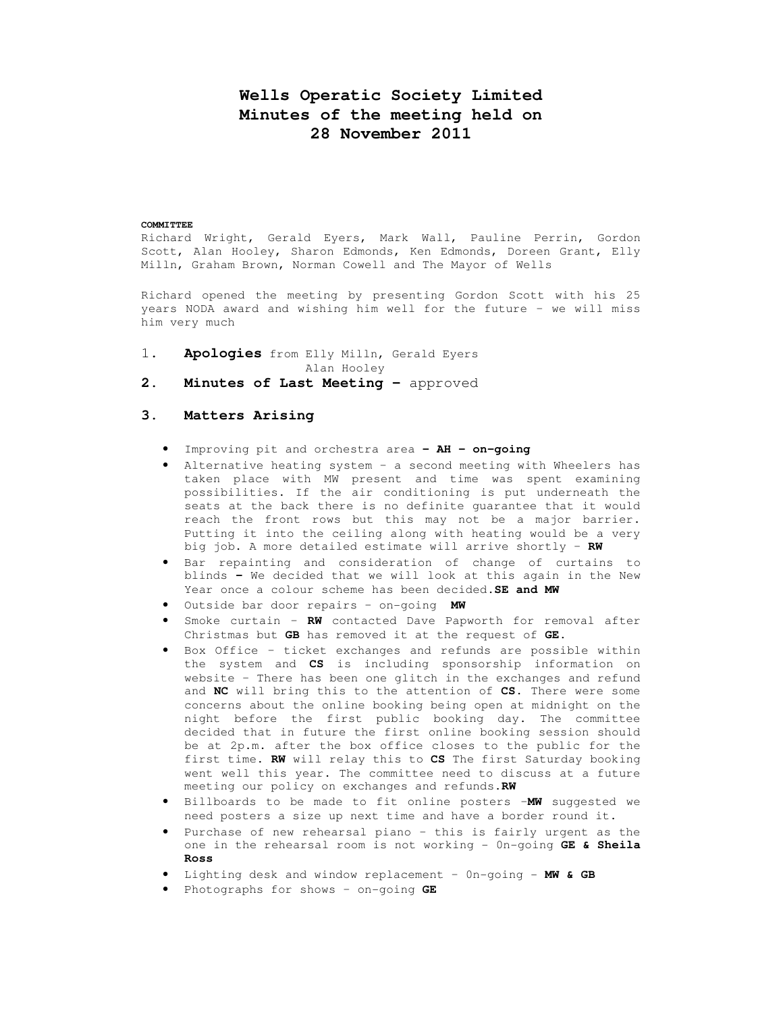# **Wells Operatic Society Limited Minutes of the meeting held on 28 November 2011**

#### **COMMITTEE**

Richard Wright, Gerald Eyers, Mark Wall, Pauline Perrin, Gordon Scott, Alan Hooley, Sharon Edmonds, Ken Edmonds, Doreen Grant, Elly Milln, Graham Brown, Norman Cowell and The Mayor of Wells

Richard opened the meeting by presenting Gordon Scott with his 25 years NODA award and wishing him well for the future – we will miss him very much

- 1. **Apologies** from Elly Milln, Gerald Eyers
	- Alan Hooley
- 2. Minutes of Last Meeting approved

#### **3. Matters Arising**

- Improving pit and orchestra area **– AH on-going**
- Alternative heating system a second meeting with Wheelers has taken place with MW present and time was spent examining possibilities. If the air conditioning is put underneath the seats at the back there is no definite guarantee that it would reach the front rows but this may not be a major barrier. Putting it into the ceiling along with heating would be a very big job. A more detailed estimate will arrive shortly – **RW**
- Bar repainting and consideration of change of curtains to blinds **–** We decided that we will look at this again in the New Year once a colour scheme has been decided.**SE and MW**
- Outside bar door repairs on-going **MW**
- Smoke curtain **RW** contacted Dave Papworth for removal after Christmas but **GB** has removed it at the request of **GE**.
- Box Office ticket exchanges and refunds are possible within the system and **CS** is including sponsorship information on website – There has been one glitch in the exchanges and refund and **NC** will bring this to the attention of **CS.** There were some concerns about the online booking being open at midnight on the night before the first public booking day. The committee decided that in future the first online booking session should be at 2p.m. after the box office closes to the public for the first time. **RW** will relay this to **CS** The first Saturday booking went well this year. The committee need to discuss at a future meeting our policy on exchanges and refunds.**RW**
- Billboards to be made to fit online posters –**MW** suggested we need posters a size up next time and have a border round it.
- Purchase of new rehearsal piano this is fairly urgent as the one in the rehearsal room is not working - 0n-going **GE & Sheila Ross**
- Lighting desk and window replacement 0n-going **MW & GB**
- Photographs for shows on-going **GE**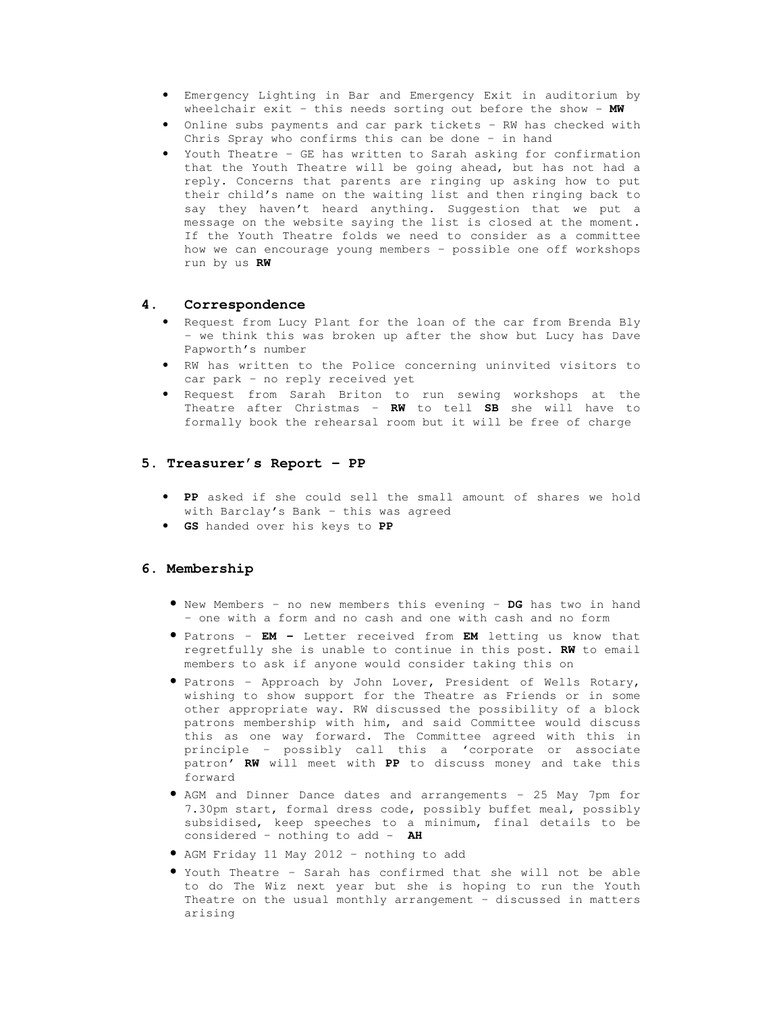- Emergency Lighting in Bar and Emergency Exit in auditorium by wheelchair exit – this needs sorting out before the show - **MW**
- Online subs payments and car park tickets RW has checked with Chris Spray who confirms this can be done – in hand
- Youth Theatre GE has written to Sarah asking for confirmation that the Youth Theatre will be going ahead, but has not had a reply. Concerns that parents are ringing up asking how to put their child's name on the waiting list and then ringing back to say they haven't heard anything. Suggestion that we put a message on the website saying the list is closed at the moment. If the Youth Theatre folds we need to consider as a committee how we can encourage young members – possible one off workshops run by us **RW**

#### **4. Correspondence**

- Request from Lucy Plant for the loan of the car from Brenda Bly – we think this was broken up after the show but Lucy has Dave Papworth's number
- RW has written to the Police concerning uninvited visitors to car park – no reply received yet
- Request from Sarah Briton to run sewing workshops at the Theatre after Christmas – **RW** to tell **SB** she will have to formally book the rehearsal room but it will be free of charge

#### **5. Treasurer's Report – PP**

- **PP** asked if she could sell the small amount of shares we hold with Barclay's Bank – this was agreed
- **GS** handed over his keys to **PP**

## **6. Membership**

- New Members no new members this evening **DG** has two in hand – one with a form and no cash and one with cash and no form
- Patrons **EM** Letter received from **EM** letting us know that regretfully she is unable to continue in this post. **RW** to email members to ask if anyone would consider taking this on
- Patrons Approach by John Lover, President of Wells Rotary, wishing to show support for the Theatre as Friends or in some other appropriate way. RW discussed the possibility of a block patrons membership with him, and said Committee would discuss this as one way forward. The Committee agreed with this in principle – possibly call this a 'corporate or associate patron' **RW** will meet with **PP** to discuss money and take this forward
- AGM and Dinner Dance dates and arrangements 25 May 7pm for 7.30pm start, formal dress code, possibly buffet meal, possibly subsidised, keep speeches to a minimum, final details to be considered – nothing to add - **AH**
- AGM Friday 11 May 2012 nothing to add
- Youth Theatre Sarah has confirmed that she will not be able to do The Wiz next year but she is hoping to run the Youth Theatre on the usual monthly arrangement – discussed in matters arising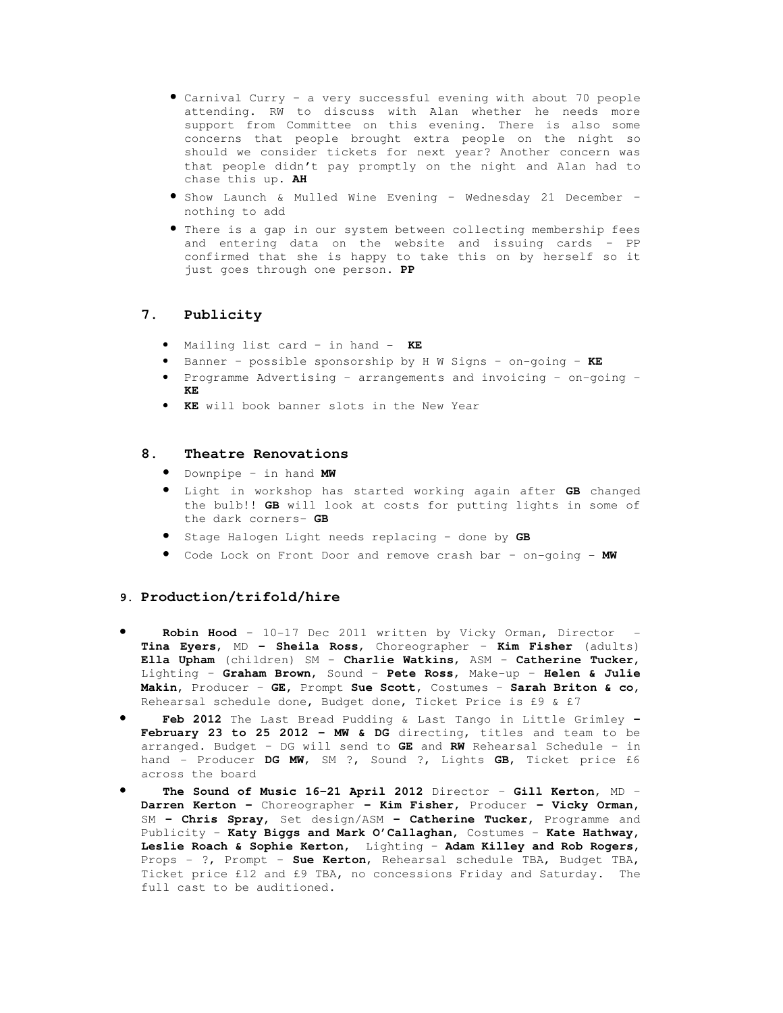- Carnival Curry a very successful evening with about 70 people attending. RW to discuss with Alan whether he needs more support from Committee on this evening. There is also some concerns that people brought extra people on the night so should we consider tickets for next year? Another concern was that people didn't pay promptly on the night and Alan had to chase this up. **AH**
- Show Launch & Mulled Wine Evening Wednesday 21 December nothing to add
- There is a gap in our system between collecting membership fees and entering data on the website and issuing cards – PP confirmed that she is happy to take this on by herself so it just goes through one person. **PP**

## **7. Publicity**

- Mailing list card in hand **KE**
- Banner possible sponsorship by H W Signs on-going **KE**
- Programme Advertising arrangements and invoicing on-going **KE**
- **KE** will book banner slots in the New Year

#### **8. Theatre Renovations**

- Downpipe in hand **MW**
- Light in workshop has started working again after **GB** changed the bulb!! **GB** will look at costs for putting lights in some of the dark corners– **GB**
- Stage Halogen Light needs replacing done by **GB**
- Code Lock on Front Door and remove crash bar on-going **MW**

#### **9. Production/trifold/hire**

- **Robin Hood**  10-17 Dec 2011 written by Vicky Orman, Director **Tina Eyers**, MD **– Sheila Ross**, Choreographer – **Kim Fisher** (adults) **Ella Upham** (children) SM – **Charlie Watkins**, ASM – **Catherine Tucker,** Lighting – **Graham Brown**, Sound – **Pete Ross**, Make-up – **Helen & Julie Makin,** Producer – **GE,** Prompt **Sue Scott**, Costumes – **Sarah Briton & co,** Rehearsal schedule done, Budget done, Ticket Price is £9 & £7
- **Feb 2012** The Last Bread Pudding & Last Tango in Little Grimley  **February 23 to 25 2012 – MW & DG** directing, titles and team to be arranged. Budget – DG will send to **GE** and **RW** Rehearsal Schedule – in hand - Producer **DG MW**, SM ?, Sound ?, Lights **GB**, Ticket price £6 across the board
- **The Sound of Music 16-21 April 2012** Director **Gill Kerton**, MD **Darren Kerton –** Choreographer **– Kim Fisher,** Producer **– Vicky Orman,**  SM **– Chris Spray,** Set design/ASM **– Catherine Tucker,** Programme and Publicity – **Katy Biggs and Mark O'Callaghan,** Costumes – **Kate Hathway, Leslie Roach & Sophie Kerton,** Lighting – **Adam Killey and Rob Rogers**, Props - ?, Prompt – **Sue Kerton**, Rehearsal schedule TBA, Budget TBA, Ticket price £12 and £9 TBA, no concessions Friday and Saturday. The full cast to be auditioned.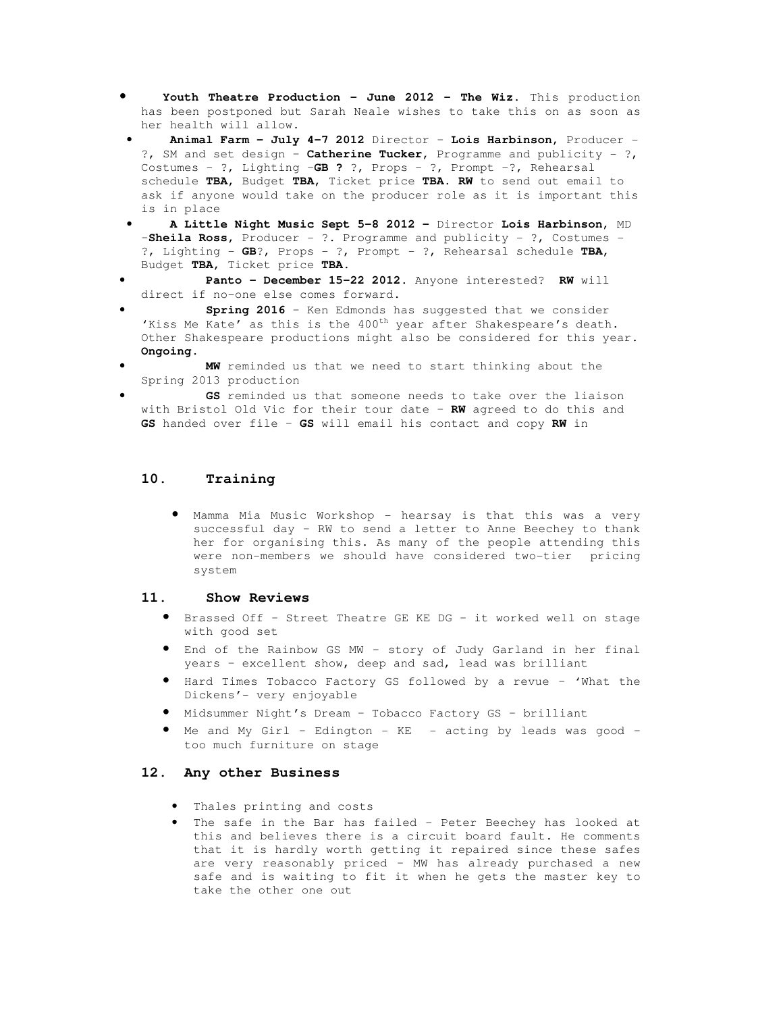- **Youth Theatre Production June 2012 The Wiz.** This production has been postponed but Sarah Neale wishes to take this on as soon as her health will allow.
- **Animal Farm July 4-7 2012** Director **Lois Harbinson,** Producer ?, SM and set design – **Catherine Tucker,** Programme and publicity - ?, Costumes - ?, Lighting –**GB ?** ?, Props - ?, Prompt -?, Rehearsal schedule **TBA,** Budget **TBA,** Ticket price **TBA. RW** to send out email to ask if anyone would take on the producer role as it is important this is in place
- **A Little Night Music Sept 5-8 2012** Director **Lois Harbinson**, MD –**Sheila Ross,** Producer - ?. Programme and publicity - ?, Costumes - ?, Lighting - **GB**?, Props - ?, Prompt - ?, Rehearsal schedule **TBA,**  Budget **TBA,** Ticket price **TBA.**
- **Panto December 15-22 2012.** Anyone interested? **RW** will direct if no-one else comes forward.
- **Spring 2016** Ken Edmonds has suggested that we consider 'Kiss Me Kate' as this is the 400<sup>th</sup> year after Shakespeare's death. Other Shakespeare productions might also be considered for this year. **Ongoing.**
- **MW** reminded us that we need to start thinking about the Spring 2013 production
- GS reminded us that someone needs to take over the liaison with Bristol Old Vic for their tour date – **RW** agreed to do this and **GS** handed over file – **GS** will email his contact and copy **RW** in

## **10. Training**

• Mamma Mia Music Workshop - hearsay is that this was a very successful day – RW to send a letter to Anne Beechey to thank her for organising this. As many of the people attending this were non-members we should have considered two-tier pricing system

#### **11. Show Reviews**

- Brassed Off Street Theatre GE KE DG it worked well on stage with good set
- End of the Rainbow GS MW story of Judy Garland in her final years – excellent show, deep and sad, lead was brilliant
- Hard Times Tobacco Factory GS followed by a revue 'What the Dickens'- very enjoyable
- Midsummer Night's Dream Tobacco Factory GS brilliant
- Me and My Girl Edington KE acting by leads was good too much furniture on stage

#### **12. Any other Business**

- Thales printing and costs
- The safe in the Bar has failed Peter Beechey has looked at this and believes there is a circuit board fault. He comments that it is hardly worth getting it repaired since these safes are very reasonably priced – MW has already purchased a new safe and is waiting to fit it when he gets the master key to take the other one out